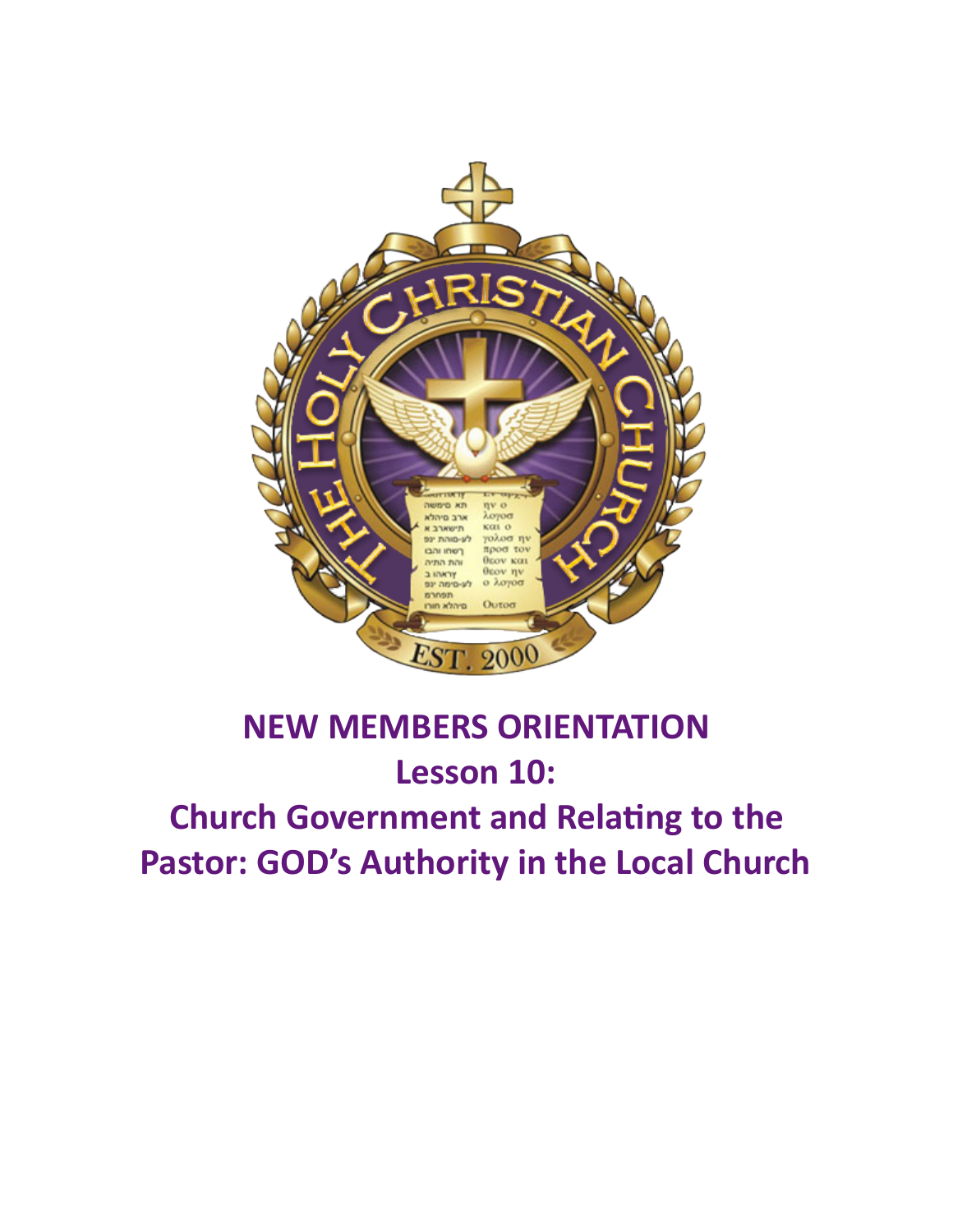

# **NEW MEMBERS ORIENTATION Lesson 10: Church Government and Relating to the** Pastor: GOD's Authority in the Local Church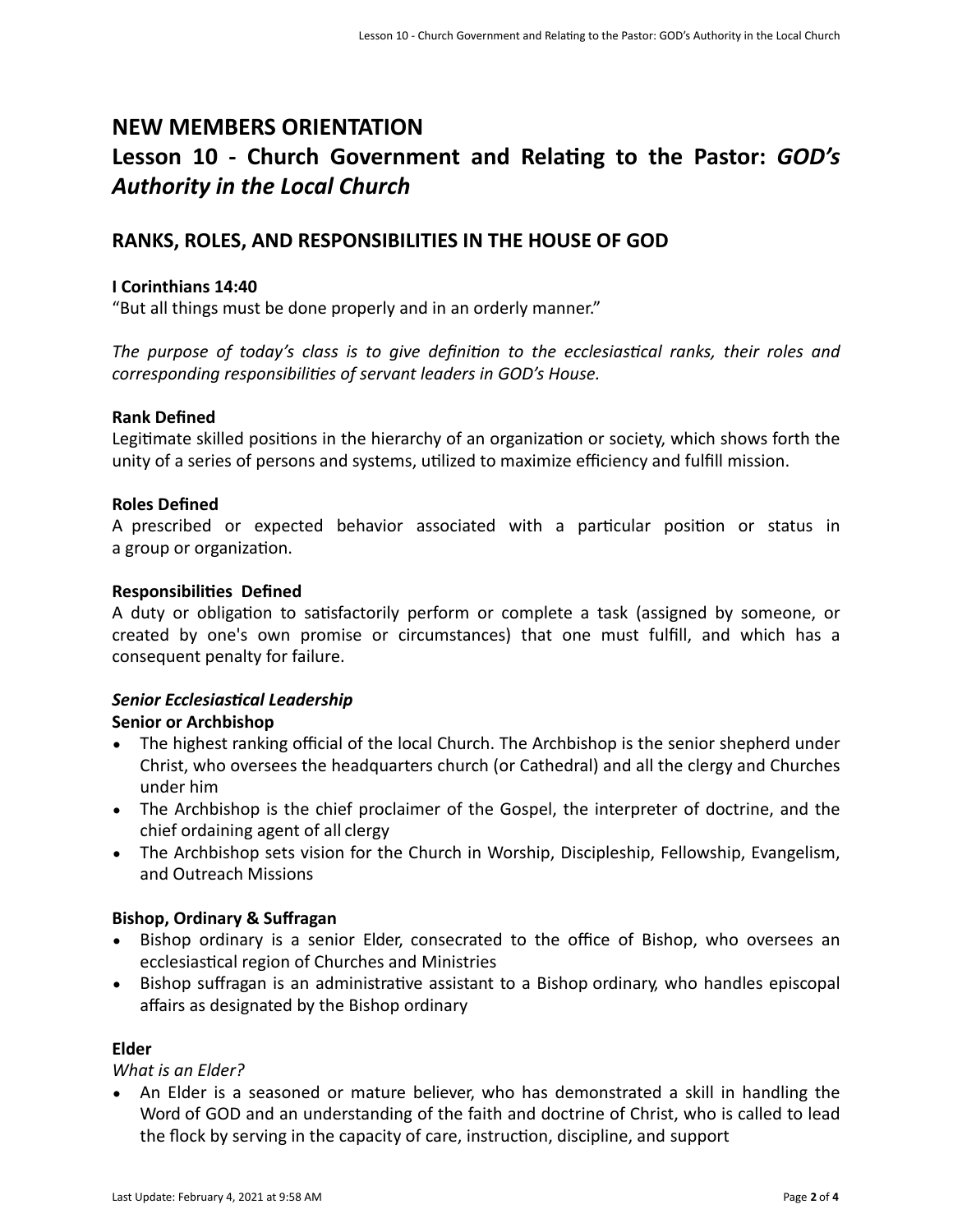# **NEW MEMBERS ORIENTATION** Lesson 10 - Church Government and Relating to the Pastor: *GOD's Authority in the Local Church*

# **RANKS, ROLES, AND RESPONSIBILITIES IN THE HOUSE OF GOD**

#### **I Corinthians 14:40**

"But all things must be done properly and in an orderly manner."

The purpose of today's class is to give definition to the ecclesiastical ranks, their roles and *corresponding responsibilities of servant leaders in GOD's House.* 

#### **Rank Defined**

Legitimate skilled positions in the hierarchy of an organization or society, which shows forth the unity of a series of persons and systems, utilized to maximize efficiency and fulfill mission.

#### **Roles Defined**

A prescribed or expected behavior associated with a particular position or status in a group or organization.

#### **Responsibilities Defined**

A duty or obligation to satisfactorily perform or complete a task (assigned by someone, or created by one's own promise or circumstances) that one must fulfill, and which has a consequent penalty for failure.

# **Senior Ecclesiastical Leadership**

# **Senior or Archbishop**

- The highest ranking official of the local Church. The Archbishop is the senior shepherd under Christ, who oversees the headquarters church (or Cathedral) and all the clergy and Churches under him
- The Archbishop is the chief proclaimer of the Gospel, the interpreter of doctrine, and the chief ordaining agent of all clergy
- The Archbishop sets vision for the Church in Worship, Discipleship, Fellowship, Evangelism, and Outreach Missions

# **Bishop, Ordinary & Suffragan**

- Bishop ordinary is a senior Elder, consecrated to the office of Bishop, who oversees an ecclesiastical region of Churches and Ministries
- Bishop suffragan is an administrative assistant to a Bishop ordinary, who handles episcopal affairs as designated by the Bishop ordinary

# **Elder**

# *What is an Elder?*

• An Elder is a seasoned or mature believer, who has demonstrated a skill in handling the Word of GOD and an understanding of the faith and doctrine of Christ, who is called to lead the flock by serving in the capacity of care, instruction, discipline, and support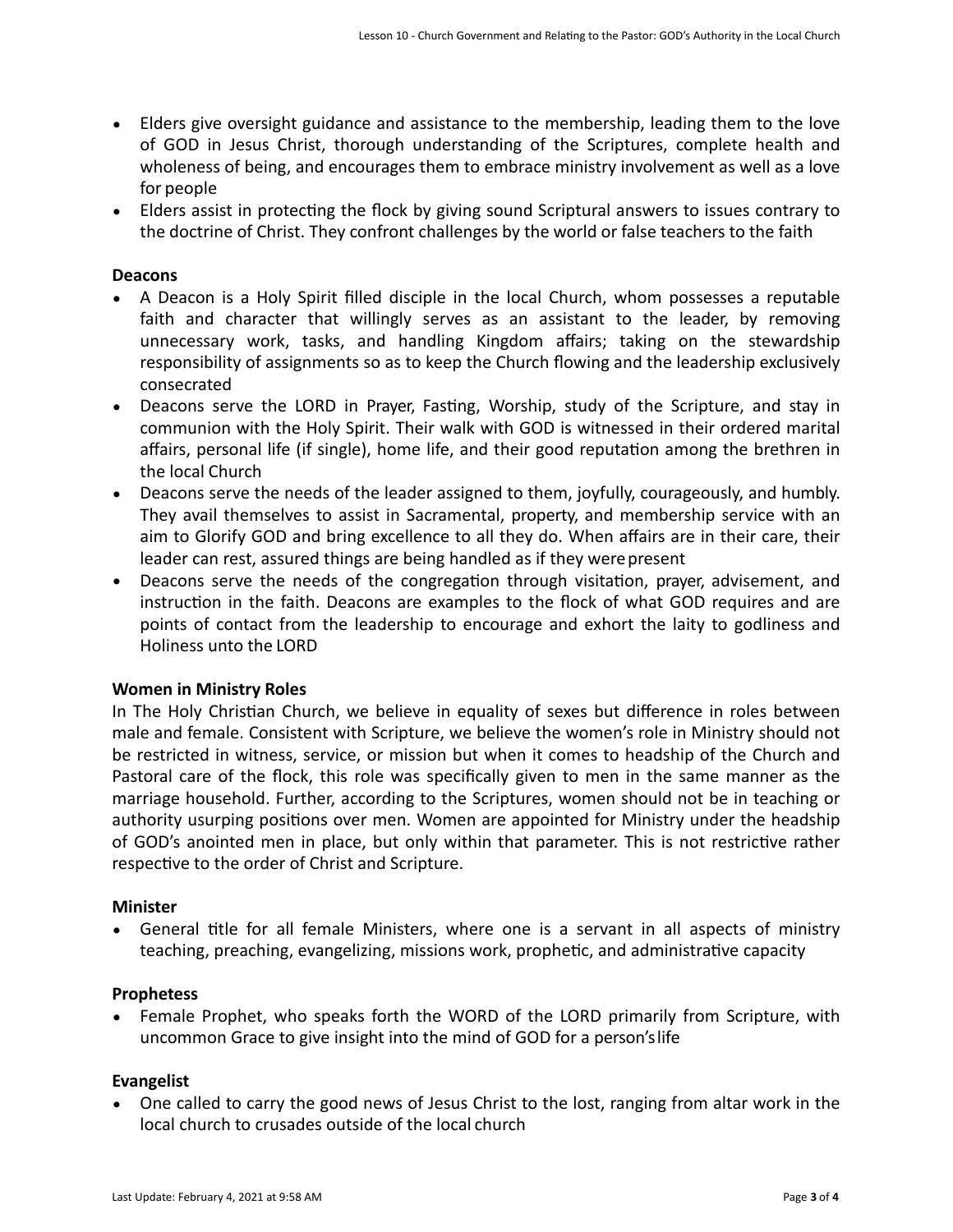- Elders give oversight guidance and assistance to the membership, leading them to the love of GOD in Jesus Christ, thorough understanding of the Scriptures, complete health and wholeness of being, and encourages them to embrace ministry involvement as well as a love for people
- Elders assist in protecting the flock by giving sound Scriptural answers to issues contrary to the doctrine of Christ. They confront challenges by the world or false teachers to the faith

# **Deacons**

- A Deacon is a Holy Spirit filled disciple in the local Church, whom possesses a reputable faith and character that willingly serves as an assistant to the leader, by removing unnecessary work, tasks, and handling Kingdom affairs; taking on the stewardship responsibility of assignments so as to keep the Church flowing and the leadership exclusively consecrated
- Deacons serve the LORD in Prayer, Fasting, Worship, study of the Scripture, and stay in communion with the Holy Spirit. Their walk with GOD is witnessed in their ordered marital affairs, personal life (if single), home life, and their good reputation among the brethren in the local Church
- Deacons serve the needs of the leader assigned to them, joyfully, courageously, and humbly. They avail themselves to assist in Sacramental, property, and membership service with an aim to Glorify GOD and bring excellence to all they do. When affairs are in their care, their leader can rest, assured things are being handled as if they were present
- Deacons serve the needs of the congregation through visitation, prayer, advisement, and instruction in the faith. Deacons are examples to the flock of what GOD requires and are points of contact from the leadership to encourage and exhort the laity to godliness and Holiness unto the LORD

# **Women in Ministry Roles**

In The Holy Christian Church, we believe in equality of sexes but difference in roles between male and female. Consistent with Scripture, we believe the women's role in Ministry should not be restricted in witness, service, or mission but when it comes to headship of the Church and Pastoral care of the flock, this role was specifically given to men in the same manner as the marriage household. Further, according to the Scriptures, women should not be in teaching or authority usurping positions over men. Women are appointed for Ministry under the headship of GOD's anointed men in place, but only within that parameter. This is not restrictive rather respective to the order of Christ and Scripture.

# **Minister**

General title for all female Ministers, where one is a servant in all aspects of ministry teaching, preaching, evangelizing, missions work, prophetic, and administrative capacity

# **Prophetess**

• Female Prophet, who speaks forth the WORD of the LORD primarily from Scripture, with uncommon Grace to give insight into the mind of GOD for a person's life

# **Evangelist**

• One called to carry the good news of Jesus Christ to the lost, ranging from altar work in the local church to crusades outside of the local church